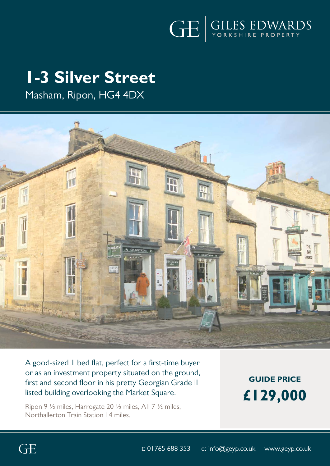

# **1-3 Silver Street**

Masham, Ripon, HG4 4DX



A good-sized 1 bed flat, perfect for a first-time buyer or as an investment property situated on the ground, first and second floor in his pretty Georgian Grade II listed building overlooking the Market Square.

Ripon 9 ½ miles, Harrogate 20 ½ miles, A1 7 ½ miles, Northallerton Train Station 14 miles.

**GUIDE PRICE £129,000**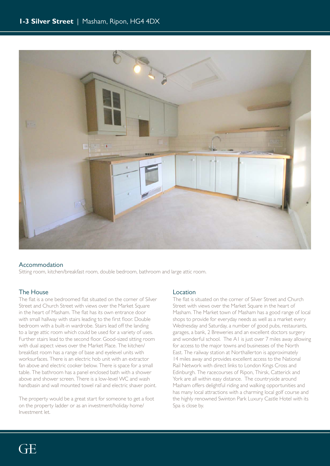

#### Accommodation

Sitting room, kitchen/breakfast room, double bedroom, bathroom and large attic room.

### The House

The flat is a one bedroomed flat situated on the corner of Silver Street and Church Street with views over the Market Square in the heart of Masham. The flat has its own entrance door with small hallway with stairs leading to the first floor. Double bedroom with a built-in wardrobe. Stairs lead off the landing to a large attic room which could be used for a variety of uses. Further stairs lead to the second floor. Good-sized sitting room with dual aspect views over the Market Place. The kitchen/ breakfast room has a range of base and eyelevel units with worksurfaces. There is an electric hob unit with an extractor fan above and electric cooker below. There is space for a small table. The bathroom has a panel enclosed bath with a shower above and shower screen. There is a low-level WC and wash handbasin and wall mounted towel rail and electric shaver point.

The property would be a great start for someone to get a foot on the property ladder or as an investment/holiday home/ Investment let.

### **Location**

The flat is situated on the corner of Silver Street and Church Street with views over the Market Square in the heart of Masham. The Market town of Masham has a good range of local shops to provide for everyday needs as well as a market every Wednesday and Saturday, a number of good pubs, restaurants, garages, a bank, 2 Breweries and an excellent doctors surgery and wonderful school. The A1 is just over 7 miles away allowing for access to the major towns and businesses of the North East. The railway station at Northallerton is approximately 14 miles away and provides excellent access to the National Rail Network with direct links to London Kings Cross and Edinburgh. The racecourses of Ripon, Thirsk, Catterick and York are all within easy distance. The countryside around Masham offers delightful riding and walking opportunities and has many local attractions with a charming local golf course and the highly renowned Swinton Park Luxury Castle Hotel with its Spa is close by.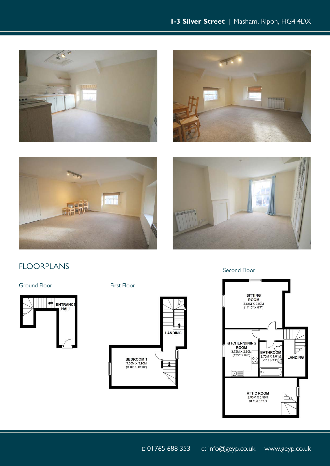







# FLOORPLANS

Ground Floor First Floor





Second Floor